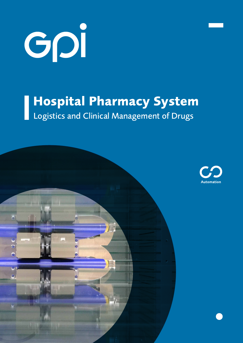

## **Hospital Pharmacy System** Logistics and Clinical Management of Drugs

**Automation** 

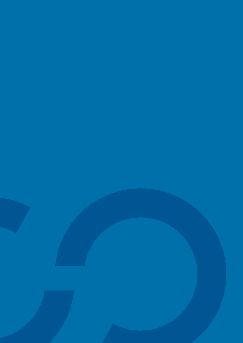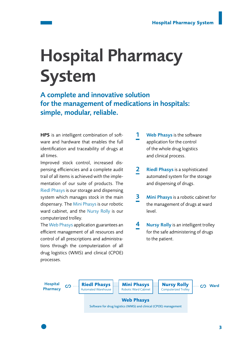A complete and innovative solution for the management of medications in hospitals: simple, modular, reliable.

HPS is an intelligent combination of software and hardware that enables the full identification and traceability of drugs at all times.

Improved stock control, increased dispensing efficiencies and a complete audit trail of all items is achieved with the implementation of our suite of products. The Riedl Phasys is our storage and dispensing system which manages stock in the main dispensary. The Mini Phasys is our robotic ward cabinet, and the Nursy Rolly is our computerized trolley.

The Web Phasys application guarantees an efficient management of all resources and control of all prescriptions and administrations through the computerization of all drug logistics (WMS) and clinical (CPOE) processes.

- Web Phasys is the software application for the control of the whole drug logistics and clinical process. 1
- Riedl Phasys is a sophisticated automated system for the storage and dispensing of drugs. 2
- Mini Phasys is a robotic cabinet for the management of drugs at ward level. 3
- Nursy Rolly is an intelligent trolley for the safe administering of drugs to the patient. 4

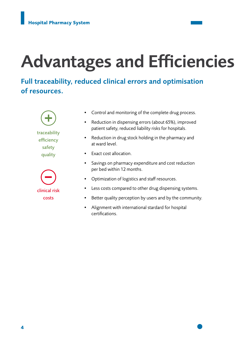# Advantages and Efficiencies

## Full traceability, reduced clinical errors and optimisation of resources.



traceability efficiency safety quality



- Control and monitoring of the complete drug process.
- Reduction in dispensing errors (about 65%), improved patient safety, reduced liability risks for hospitals.
- Reduction in drug stock holding in the pharmacy and at ward level.
- Exact cost allocation.
- Savings on pharmacy expenditure and cost reduction per bed within 12 months.
- Optimization of logistics and staff resources.
- Less costs compared to other drug dispensing systems.
- Better quality perception by users and by the community.
- Alignment with international stardard for hospital certifications.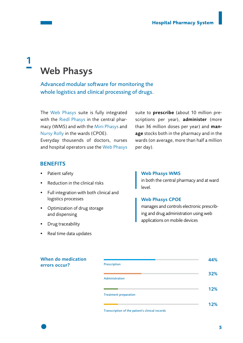## 1<br> **Web Phasys** 1

Advanced modular software for monitoring the whole logistics and clinical processing of drugs.

The Web Phasys suite is fully integrated with the Riedl Phasys in the central pharmacy (WMS) and with the Mini Phasys and Nursy Rolly in the wards (CPOE).

Everyday thousends of doctors, nurses and hospital operators use the Web Phasys suite to **prescribe** (about 10 million prescriptions per year), administer (more than 36 million doses per year) and manage stocks both in the pharmacy and in the wards (on average, more than half a million per day).

### **BENEFITS**

- Patient safety
- Reduction in the clinical risks
- Full integration with both clinical and logistics processes
- Optimization of drug storage and dispensing
- Drug traceability
- Real time data updates

### Web Phasys WMS

in both the central pharmacy and at ward level.

### Web Phasys CPOE

manages and controls electronic prescribing and drug administration using web applications on mobile devices

|               | When do medication |
|---------------|--------------------|
| errors occur? |                    |

| Prescription                 | 44% |
|------------------------------|-----|
| Administration               | 32% |
| <b>Treatment preparation</b> | 12% |
|                              | 12% |

Transcription of the patient's clinical records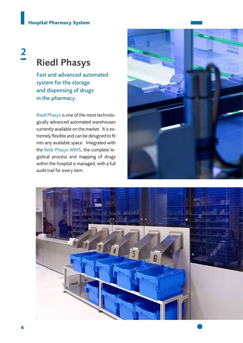## 2

## Riedl Phasys

Fast and advanced automated system for the storage and dispensing of drugs in the pharmacy.

Riedl Phasys is one of the most technologically advanced automated warehouses currently available on the market. It is extremely flexible and can be designed to fit into any available space. Integrated with the Web Phasys WMS, the complete logistical process and mapping of drugs within the hospital is managed, with a full audit trail for every item.



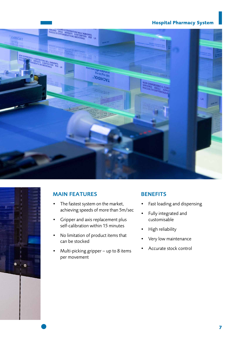



## MAIN FEATURES BENEFITS

- The fastest system on the market, achieving speeds of more than 5m/sec
- Gripper and axis replacement plus self-calibration within 15 minutes
- No limitation of product items that can be stocked
- Multi-picking gripper up to 8 items per movement

- Fast loading and dispensing
- Fully integrated and customisable
- High reliability
- Very low maintenance
- Accurate stock control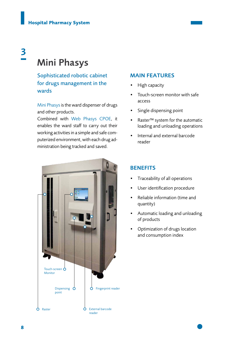# Mini Phasys

3

Sophisticated robotic cabinet for drugs management in the wards

Mini Phasys is the ward dispenser of drugs and other products.

Combined with Web Phasys CPOE, it enables the ward staff to carry out their working activities in a simple and safe computerized environment, with each drug administration being tracked and saved.



### MAIN FEATURES

- High capacity
- Touch-screen monitor with safe access
- Single dispensing point
- Raster™ system for the automatic loading and unloading operations
- Internal and external barcode reader

### **BENEFITS**

- Traceability of all operations
- User identification procedure
- Reliable information (time and quantity)
- Automatic loading and unloading of products
- Optimization of drugs location and consumption index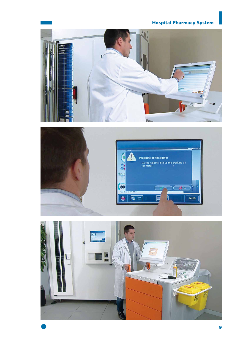



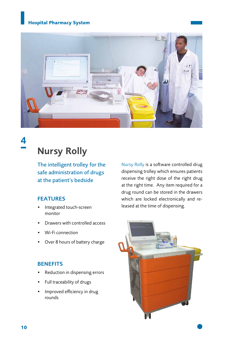

## 4

## Nursy Rolly

The intelligent trolley for the safe administration of drugs at the patient's bedside

## FEATURES

- Integrated touch-screen monitor
- Drawers with controlled access
- Wi-Fi connection
- Over 8 hours of battery charge

### **BENEFITS**

- Reduction in dispensing errors
- Full traceability of drugs
- Improved efficiency in drug rounds

Nursy Rolly is a software controlled drug dispensing trolley which ensures patients receive the right dose of the right drug at the right time. Any item required for a drug round can be stored in the drawers which are locked electronically and released at the time of dispensing.